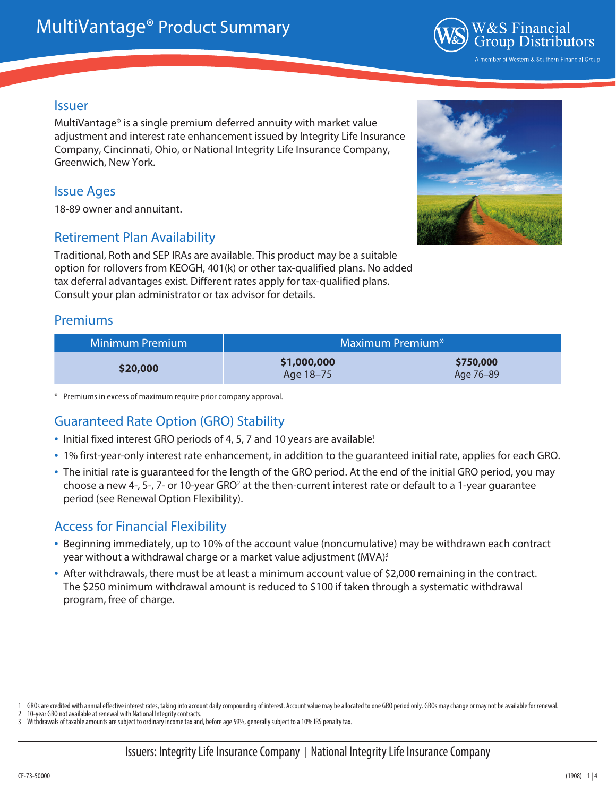

Issuer

MultiVantage® is a single premium deferred annuity with market value adjustment and interest rate enhancement issued by Integrity Life Insurance Company, Cincinnati, Ohio, or National Integrity Life Insurance Company, Greenwich, New York.

# Issue Ages

18-89 owner and annuitant.

# Retirement Plan Availability

Traditional, Roth and SEP IRAs are available. This product may be a suitable option for rollovers from KEOGH, 401(k) or other tax-qualified plans. No added tax deferral advantages exist. Different rates apply for tax-qualified plans. Consult your plan administrator or tax advisor for details.

### **Premiums**

| Minimum Premium | Maximum Premium <sup>*</sup> |                        |  |  |
|-----------------|------------------------------|------------------------|--|--|
| \$20,000        | \$1,000,000<br>Age 18–75     | \$750,000<br>Age 76–89 |  |  |

\* Premiums in excess of maximum require prior company approval.

# Guaranteed Rate Option (GRO) Stability

- Initial fixed interest GRO periods of 4, 5, 7 and 10 years are available!
- 1% first-year-only interest rate enhancement, in addition to the guaranteed initial rate, applies for each GRO.
- The initial rate is guaranteed for the length of the GRO period. At the end of the initial GRO period, you may choose a new 4-, 5-, 7- or 10-year GRO<sup>2</sup> at the then-current interest rate or default to a 1-year guarantee period (see Renewal Option Flexibility).

# Access for Financial Flexibility

- Beginning immediately, up to 10% of the account value (noncumulative) may be withdrawn each contract year without a withdrawal charge or a market value adjustment (MVA)?
- After withdrawals, there must be at least a minimum account value of \$2,000 remaining in the contract. The \$250 minimum withdrawal amount is reduced to \$100 if taken through a systematic withdrawal program, free of charge.

1 GROs are credited with annual effective interest rates, taking into account daily compounding of interest. Account value may be allocated to one GRO period only. GROs may change or may not be available for renewal.

2 10-year GRO not available at renewal with National Integrity contracts.

Withdrawals of taxable amounts are subject to ordinary income tax and, before age 59½, generally subject to a 10% IRS penalty tax.

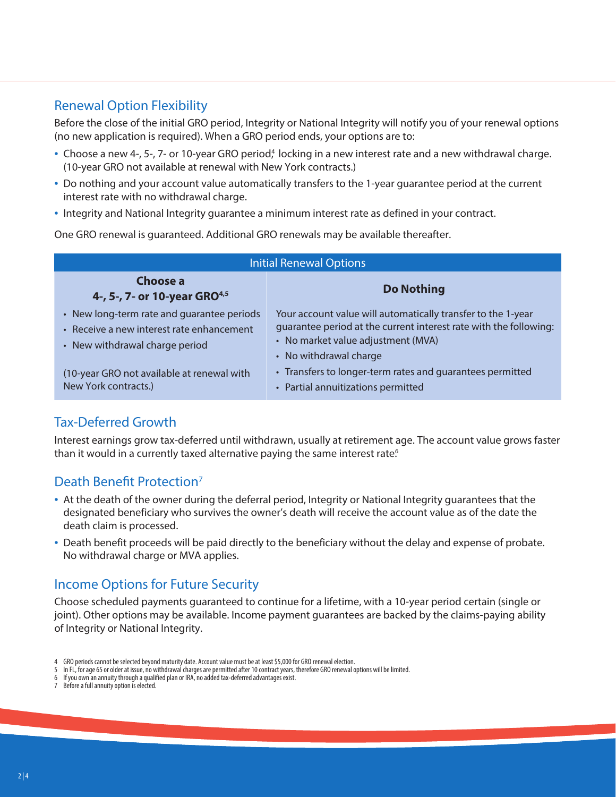## Renewal Option Flexibility

Before the close of the initial GRO period, Integrity or National Integrity will notify you of your renewal options (no new application is required). When a GRO period ends, your options are to:

- Choose a new 4-, 5-, 7- or 10-year GRO period,<sup>4</sup> locking in a new interest rate and a new withdrawal charge. (10-year GRO not available at renewal with New York contracts.)
- Do nothing and your account value automatically transfers to the 1-year guarantee period at the current interest rate with no withdrawal charge.
- Integrity and National Integrity guarantee a minimum interest rate as defined in your contract.

One GRO renewal is guaranteed. Additional GRO renewals may be available thereafter.

| <b>Initial Renewal Options</b>                                                                                            |                                                                                                                                                                                                   |  |  |  |  |
|---------------------------------------------------------------------------------------------------------------------------|---------------------------------------------------------------------------------------------------------------------------------------------------------------------------------------------------|--|--|--|--|
| Choose a<br>4-, 5-, 7- or 10-year GRO <sup>4,5</sup>                                                                      | <b>Do Nothing</b>                                                                                                                                                                                 |  |  |  |  |
| • New long-term rate and guarantee periods<br>• Receive a new interest rate enhancement<br>• New withdrawal charge period | Your account value will automatically transfer to the 1-year<br>guarantee period at the current interest rate with the following:<br>• No market value adjustment (MVA)<br>• No withdrawal charge |  |  |  |  |
| (10-year GRO not available at renewal with<br>New York contracts.)                                                        | • Transfers to longer-term rates and quarantees permitted<br>• Partial annuitizations permitted                                                                                                   |  |  |  |  |

# Tax-Deferred Growth

Interest earnings grow tax-deferred until withdrawn, usually at retirement age. The account value grows faster than it would in a currently taxed alternative paying the same interest rate.<sup>6</sup>

## Death Benefit Protection<sup>7</sup>

- At the death of the owner during the deferral period, Integrity or National Integrity guarantees that the designated beneficiary who survives the owner's death will receive the account value as of the date the death claim is processed.
- Death benefit proceeds will be paid directly to the beneficiary without the delay and expense of probate. No withdrawal charge or MVA applies.

# Income Options for Future Security

Choose scheduled payments guaranteed to continue for a lifetime, with a 10-year period certain (single or joint). Other options may be available. Income payment guarantees are backed by the claims-paying ability of Integrity or National Integrity.

<sup>4</sup> GRO periods cannot be selected beyond maturity date. Account value must be at least \$5,000 for GRO renewal election.

<sup>5</sup> In FL, for age 65 or older at issue, no withdrawal charges are permitted after 10 contract years, therefore GRO renewal options will be limited.

<sup>6</sup> If you own an annuity through a qualified plan or IRA, no added tax-deferred advantages exist.

<sup>7</sup> Before a full annuity option is elected.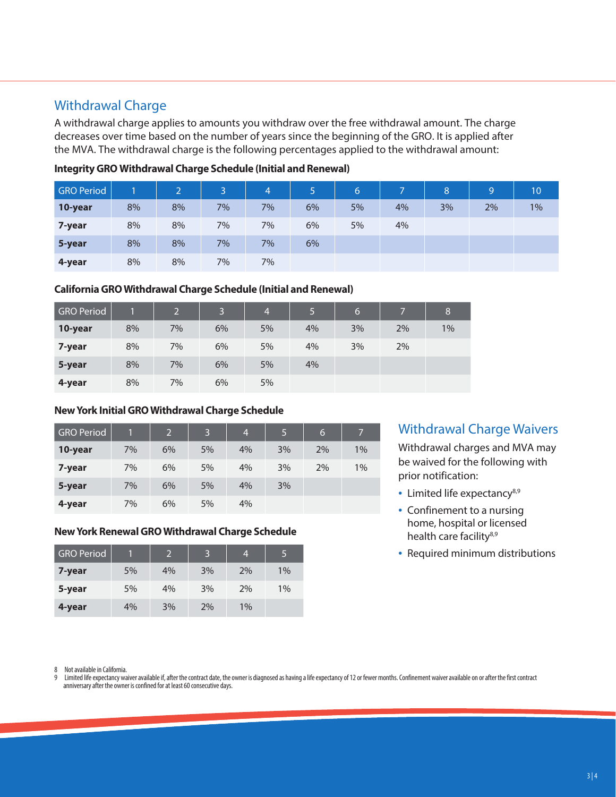# Withdrawal Charge

A withdrawal charge applies to amounts you withdraw over the free withdrawal amount. The charge decreases over time based on the number of years since the beginning of the GRO. It is applied after the MVA. The withdrawal charge is the following percentages applied to the withdrawal amount:

| <b>GRO Period</b> |    | $\overline{2}$ | R<br>د | $\overline{4}$ | 5  | 6  | v. | 8  | 9  | 10    |
|-------------------|----|----------------|--------|----------------|----|----|----|----|----|-------|
| 10-year           | 8% | 8%             | 7%     | 7%             | 6% | 5% | 4% | 3% | 2% | $1\%$ |
| 7-year            | 8% | 8%             | 7%     | 7%             | 6% | 5% | 4% |    |    |       |
| 5-year            | 8% | 8%             | 7%     | 7%             | 6% |    |    |    |    |       |
| 4-year            | 8% | 8%             | 7%     | 7%             |    |    |    |    |    |       |

**Integrity GRO Withdrawal Charge Schedule (Initial and Renewal)**

#### **California GRO Withdrawal Charge Schedule (Initial and Renewal)**

| <b>GRO Period</b> |    | $\overline{2}$ | 3  | $\overline{4}$ | 15, | 6 <sub>1</sub> |    | 8  |
|-------------------|----|----------------|----|----------------|-----|----------------|----|----|
| 10-year           | 8% | 7%             | 6% | 5%             | 4%  | 3%             | 2% | 1% |
| 7-year            | 8% | 7%             | 6% | 5%             | 4%  | 3%             | 2% |    |
| 5-year            | 8% | 7%             | 6% | 5%             | 4%  |                |    |    |
| 4-year            | 8% | 7%             | 6% | 5%             |     |                |    |    |

#### **New York Initial GRO Withdrawal Charge Schedule**

| <b>GRO Period</b> |    | $\overline{2}$ | 3  | 4  | 5  | 6  |    |
|-------------------|----|----------------|----|----|----|----|----|
| 10-year           | 7% | 6%             | 5% | 4% | 3% | 2% | 1% |
| 7-year            | 7% | 6%             | 5% | 4% | 3% | 2% | 1% |
| 5-year            | 7% | 6%             | 5% | 4% | 3% |    |    |
| 4-year            | 7% | 6%             | 5% | 4% |    |    |    |

#### **New York Renewal GRO Withdrawal Charge Schedule**

| <b>GRO Period</b> |    |    |    | 4     | 5  |
|-------------------|----|----|----|-------|----|
| 7-year            | 5% | 4% | 3% | 2%    | 1% |
| 5-year            | 5% | 4% | 3% | 2%    | 1% |
| 4-year            | 4% | 3% | 2% | $1\%$ |    |

## Withdrawal Charge Waivers

Withdrawal charges and MVA may be waived for the following with prior notification:

- $\bullet$  Limited life expectancy<sup>8,9</sup>
- Confinement to a nursing home, hospital or licensed health care facility<sup>8,9</sup>
- Required minimum distributions

9 Limited life expectancy waiver available if, after the contract date, the owner is diagnosed as having a life expectancy of 12 or fewer months. Confinement waiver available on or after the first contract anniversary after the owner is confined for at least 60 consecutive days.

<sup>8</sup> Not available in California.